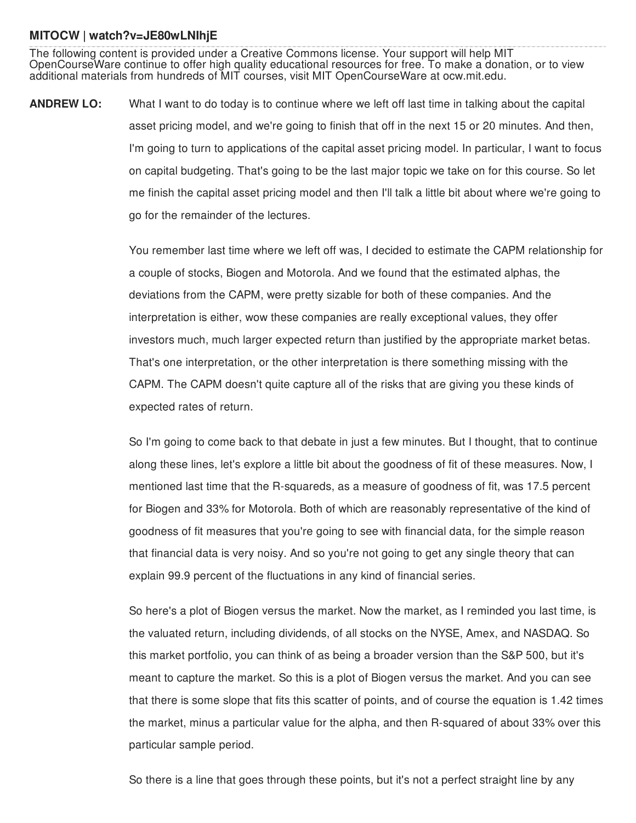## **MITOCW | watch?v=JE80wLNIhjE**

The following content is provided under a Creative Commons license. Your support will help MIT OpenCourseWare continue to offer high quality educational resources for free. To make a donation, or to view additional materials from hundreds of MIT courses, visit MIT OpenCourseWare at ocw.mit.edu.

**ANDREW LO:** What I want to do today is to continue where we left off last time in talking about the capital asset pricing model, and we're going to finish that off in the next 15 or 20 minutes. And then, I'm going to turn to applications of the capital asset pricing model. In particular, I want to focus on capital budgeting. That's going to be the last major topic we take on for this course. So let me finish the capital asset pricing model and then I'll talk a little bit about where we're going to go for the remainder of the lectures.

> You remember last time where we left off was, I decided to estimate the CAPM relationship for a couple of stocks, Biogen and Motorola. And we found that the estimated alphas, the deviations from the CAPM, were pretty sizable for both of these companies. And the interpretation is either, wow these companies are really exceptional values, they offer investors much, much larger expected return than justified by the appropriate market betas. That's one interpretation, or the other interpretation is there something missing with the CAPM. The CAPM doesn't quite capture all of the risks that are giving you these kinds of expected rates of return.

So I'm going to come back to that debate in just a few minutes. But I thought, that to continue along these lines, let's explore a little bit about the goodness of fit of these measures. Now, I mentioned last time that the R-squareds, as a measure of goodness of fit, was 17.5 percent for Biogen and 33% for Motorola. Both of which are reasonably representative of the kind of goodness of fit measures that you're going to see with financial data, for the simple reason that financial data is very noisy. And so you're not going to get any single theory that can explain 99.9 percent of the fluctuations in any kind of financial series.

So here's a plot of Biogen versus the market. Now the market, as I reminded you last time, is the valuated return, including dividends, of all stocks on the NYSE, Amex, and NASDAQ. So this market portfolio, you can think of as being a broader version than the S&P 500, but it's meant to capture the market. So this is a plot of Biogen versus the market. And you can see that there is some slope that fits this scatter of points, and of course the equation is 1.42 times the market, minus a particular value for the alpha, and then R-squared of about 33% over this particular sample period.

So there is a line that goes through these points, but it's not a perfect straight line by any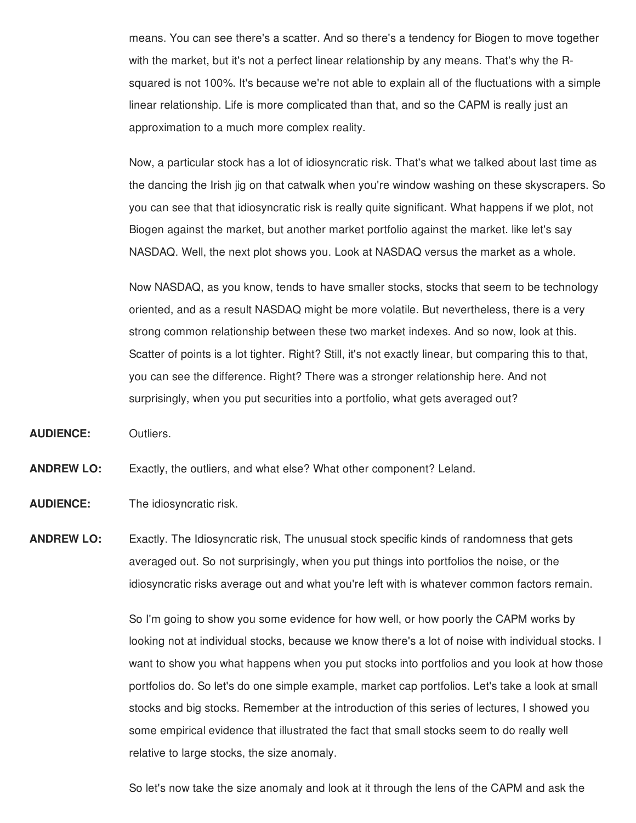means. You can see there's a scatter. And so there's a tendency for Biogen to move together with the market, but it's not a perfect linear relationship by any means. That's why the Rsquared is not 100%. It's because we're not able to explain all of the fluctuations with a simple linear relationship. Life is more complicated than that, and so the CAPM is really just an approximation to a much more complex reality.

Now, a particular stock has a lot of idiosyncratic risk. That's what we talked about last time as the dancing the Irish jig on that catwalk when you're window washing on these skyscrapers. So you can see that that idiosyncratic risk is really quite significant. What happens if we plot, not Biogen against the market, but another market portfolio against the market. like let's say NASDAQ. Well, the next plot shows you. Look at NASDAQ versus the market as a whole.

Now NASDAQ, as you know, tends to have smaller stocks, stocks that seem to be technology oriented, and as a result NASDAQ might be more volatile. But nevertheless, there is a very strong common relationship between these two market indexes. And so now, look at this. Scatter of points is a lot tighter. Right? Still, it's not exactly linear, but comparing this to that, you can see the difference. Right? There was a stronger relationship here. And not surprisingly, when you put securities into a portfolio, what gets averaged out?

**AUDIENCE:** Outliers.

**ANDREW LO:** Exactly, the outliers, and what else? What other component? Leland.

**AUDIENCE:** The idiosyncratic risk.

**ANDREW LO:** Exactly. The Idiosyncratic risk, The unusual stock specific kinds of randomness that gets averaged out. So not surprisingly, when you put things into portfolios the noise, or the idiosyncratic risks average out and what you're left with is whatever common factors remain.

> So I'm going to show you some evidence for how well, or how poorly the CAPM works by looking not at individual stocks, because we know there's a lot of noise with individual stocks. I want to show you what happens when you put stocks into portfolios and you look at how those portfolios do. So let's do one simple example, market cap portfolios. Let's take a look at small stocks and big stocks. Remember at the introduction of this series of lectures, I showed you some empirical evidence that illustrated the fact that small stocks seem to do really well relative to large stocks, the size anomaly.

So let's now take the size anomaly and look at it through the lens of the CAPM and ask the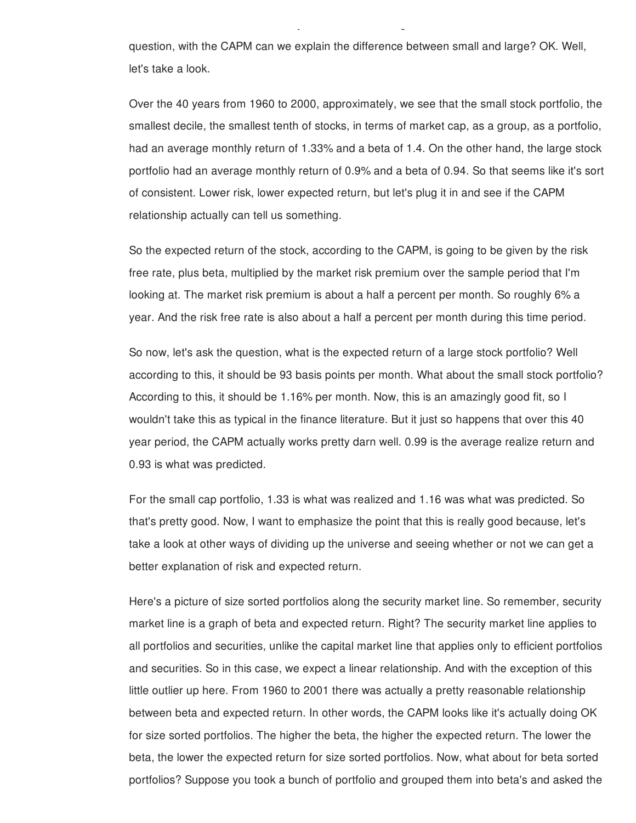question, with the CAPM can we explain the difference between small and large? OK. Well, let's take a look.

So let's now take the size anomaly and look at it through the lens of the CAPM and ask the

Over the 40 years from 1960 to 2000, approximately, we see that the small stock portfolio, the smallest decile, the smallest tenth of stocks, in terms of market cap, as a group, as a portfolio, had an average monthly return of 1.33% and a beta of 1.4. On the other hand, the large stock portfolio had an average monthly return of 0.9% and a beta of 0.94. So that seems like it's sort of consistent. Lower risk, lower expected return, but let's plug it in and see if the CAPM relationship actually can tell us something.

So the expected return of the stock, according to the CAPM, is going to be given by the risk free rate, plus beta, multiplied by the market risk premium over the sample period that I'm looking at. The market risk premium is about a half a percent per month. So roughly 6% a year. And the risk free rate is also about a half a percent per month during this time period.

So now, let's ask the question, what is the expected return of a large stock portfolio? Well according to this, it should be 93 basis points per month. What about the small stock portfolio? According to this, it should be 1.16% per month. Now, this is an amazingly good fit, so I wouldn't take this as typical in the finance literature. But it just so happens that over this 40 year period, the CAPM actually works pretty darn well. 0.99 is the average realize return and 0.93 is what was predicted.

For the small cap portfolio, 1.33 is what was realized and 1.16 was what was predicted. So that's pretty good. Now, I want to emphasize the point that this is really good because, let's take a look at other ways of dividing up the universe and seeing whether or not we can get a better explanation of risk and expected return.

Here's a picture of size sorted portfolios along the security market line. So remember, security market line is a graph of beta and expected return. Right? The security market line applies to all portfolios and securities, unlike the capital market line that applies only to efficient portfolios and securities. So in this case, we expect a linear relationship. And with the exception of this little outlier up here. From 1960 to 2001 there was actually a pretty reasonable relationship between beta and expected return. In other words, the CAPM looks like it's actually doing OK for size sorted portfolios. The higher the beta, the higher the expected return. The lower the beta, the lower the expected return for size sorted portfolios. Now, what about for beta sorted portfolios? Suppose you took a bunch of portfolio and grouped them into beta's and asked the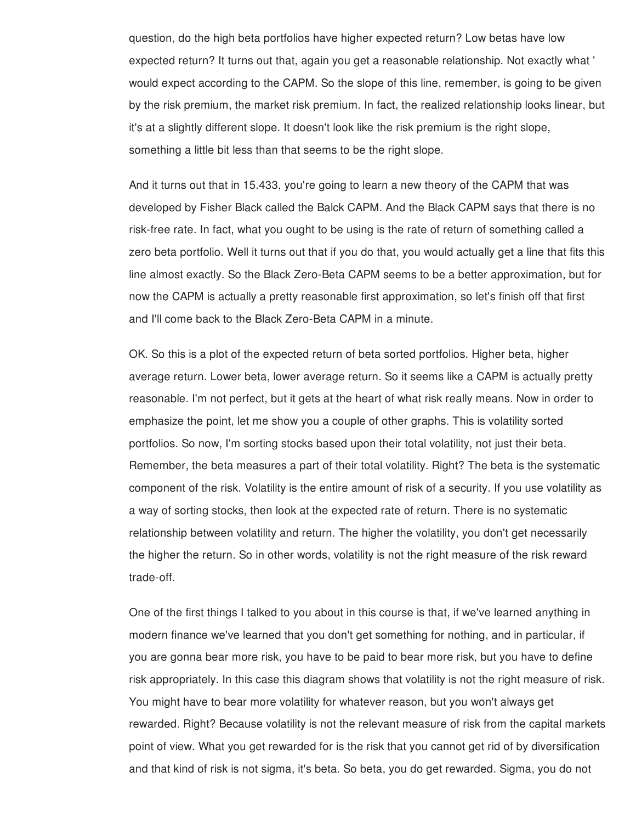question, do the high beta portfolios have higher expected return? Low betas have low expected return? It turns out that, again you get a reasonable relationship. Not exactly what ' would expect according to the CAPM. So the slope of this line, remember, is going to be given by the risk premium, the market risk premium. In fact, the realized relationship looks linear, but it's at a slightly different slope. It doesn't look like the risk premium is the right slope, something a little bit less than that seems to be the right slope.

And it turns out that in 15.433, you're going to learn a new theory of the CAPM that was developed by Fisher Black called the Balck CAPM. And the Black CAPM says that there is no risk-free rate. In fact, what you ought to be using is the rate of return of something called a zero beta portfolio. Well it turns out that if you do that, you would actually get a line that fits this line almost exactly. So the Black Zero-Beta CAPM seems to be a better approximation, but for now the CAPM is actually a pretty reasonable first approximation, so let's finish off that first and I'll come back to the Black Zero-Beta CAPM in a minute.

OK. So this is a plot of the expected return of beta sorted portfolios. Higher beta, higher average return. Lower beta, lower average return. So it seems like a CAPM is actually pretty reasonable. I'm not perfect, but it gets at the heart of what risk really means. Now in order to emphasize the point, let me show you a couple of other graphs. This is volatility sorted portfolios. So now, I'm sorting stocks based upon their total volatility, not just their beta. Remember, the beta measures a part of their total volatility. Right? The beta is the systematic component of the risk. Volatility is the entire amount of risk of a security. If you use volatility as a way of sorting stocks, then look at the expected rate of return. There is no systematic relationship between volatility and return. The higher the volatility, you don't get necessarily the higher the return. So in other words, volatility is not the right measure of the risk reward trade-off.

One of the first things I talked to you about in this course is that, if we've learned anything in modern finance we've learned that you don't get something for nothing, and in particular, if you are gonna bear more risk, you have to be paid to bear more risk, but you have to define risk appropriately. In this case this diagram shows that volatility is not the right measure of risk. You might have to bear more volatility for whatever reason, but you won't always get rewarded. Right? Because volatility is not the relevant measure of risk from the capital markets point of view. What you get rewarded for is the risk that you cannot get rid of by diversification and that kind of risk is not sigma, it's beta. So beta, you do get rewarded. Sigma, you do not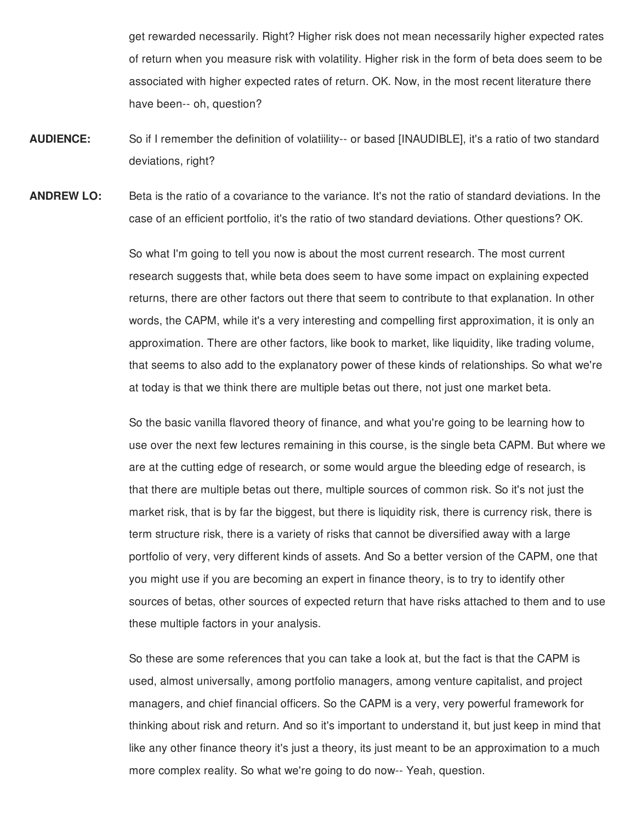get rewarded necessarily. Right? Higher risk does not mean necessarily higher expected rates of return when you measure risk with volatility. Higher risk in the form of beta does seem to be associated with higher expected rates of return. OK. Now, in the most recent literature there have been-- oh, question?

**AUDIENCE:** So if I remember the definition of volatiility-- or based [INAUDIBLE], it's a ratio of two standard deviations, right?

**ANDREW LO:** Beta is the ratio of a covariance to the variance. It's not the ratio of standard deviations. In the case of an efficient portfolio, it's the ratio of two standard deviations. Other questions? OK.

> So what I'm going to tell you now is about the most current research. The most current research suggests that, while beta does seem to have some impact on explaining expected returns, there are other factors out there that seem to contribute to that explanation. In other words, the CAPM, while it's a very interesting and compelling first approximation, it is only an approximation. There are other factors, like book to market, like liquidity, like trading volume, that seems to also add to the explanatory power of these kinds of relationships. So what we're at today is that we think there are multiple betas out there, not just one market beta.

> So the basic vanilla flavored theory of finance, and what you're going to be learning how to use over the next few lectures remaining in this course, is the single beta CAPM. But where we are at the cutting edge of research, or some would argue the bleeding edge of research, is that there are multiple betas out there, multiple sources of common risk. So it's not just the market risk, that is by far the biggest, but there is liquidity risk, there is currency risk, there is term structure risk, there is a variety of risks that cannot be diversified away with a large portfolio of very, very different kinds of assets. And So a better version of the CAPM, one that you might use if you are becoming an expert in finance theory, is to try to identify other sources of betas, other sources of expected return that have risks attached to them and to use these multiple factors in your analysis.

So these are some references that you can take a look at, but the fact is that the CAPM is used, almost universally, among portfolio managers, among venture capitalist, and project managers, and chief financial officers. So the CAPM is a very, very powerful framework for thinking about risk and return. And so it's important to understand it, but just keep in mind that like any other finance theory it's just a theory, its just meant to be an approximation to a much more complex reality. So what we're going to do now-- Yeah, question.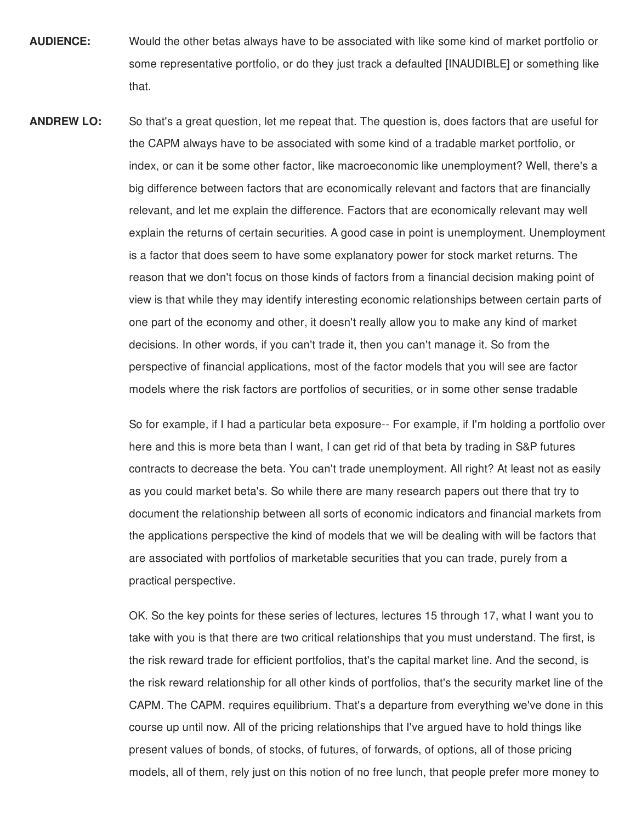- **AUDIENCE:** Would the other betas always have to be associated with like some kind of market portfolio or some representative portfolio, or do they just track a defaulted [INAUDIBLE] or something like that.
- **ANDREW LO:** So that's a great question, let me repeat that. The question is, does factors that are useful for the CAPM always have to be associated with some kind of a tradable market portfolio, or index, or can it be some other factor, like macroeconomic like unemployment? Well, there's a big difference between factors that are economically relevant and factors that are financially relevant, and let me explain the difference. Factors that are economically relevant may well explain the returns of certain securities. A good case in point is unemployment. Unemployment is a factor that does seem to have some explanatory power for stock market returns. The reason that we don't focus on those kinds of factors from a financial decision making point of view is that while they may identify interesting economic relationships between certain parts of one part of the economy and other, it doesn't really allow you to make any kind of market decisions. In other words, if you can't trade it, then you can't manage it. So from the perspective of financial applications, most of the factor models that you will see are factor models where the risk factors are portfolios of securities, or in some other sense tradable

So for example, if I had a particular beta exposure-- For example, if I'm holding a portfolio over here and this is more beta than I want, I can get rid of that beta by trading in S&P futures contracts to decrease the beta. You can't trade unemployment. All right? At least not as easily as you could market beta's. So while there are many research papers out there that try to document the relationship between all sorts of economic indicators and financial markets from the applications perspective the kind of models that we will be dealing with will be factors that are associated with portfolios of marketable securities that you can trade, purely from a practical perspective.

OK. So the key points for these series of lectures, lectures 15 through 17, what I want you to take with you is that there are two critical relationships that you must understand. The first, is the risk reward trade for efficient portfolios, that's the capital market line. And the second, is the risk reward relationship for all other kinds of portfolios, that's the security market line of the CAPM. The CAPM. requires equilibrium. That's a departure from everything we've done in this course up until now. All of the pricing relationships that I've argued have to hold things like present values of bonds, of stocks, of futures, of forwards, of options, all of those pricing models, all of them, rely just on this notion of no free lunch, that people prefer more money to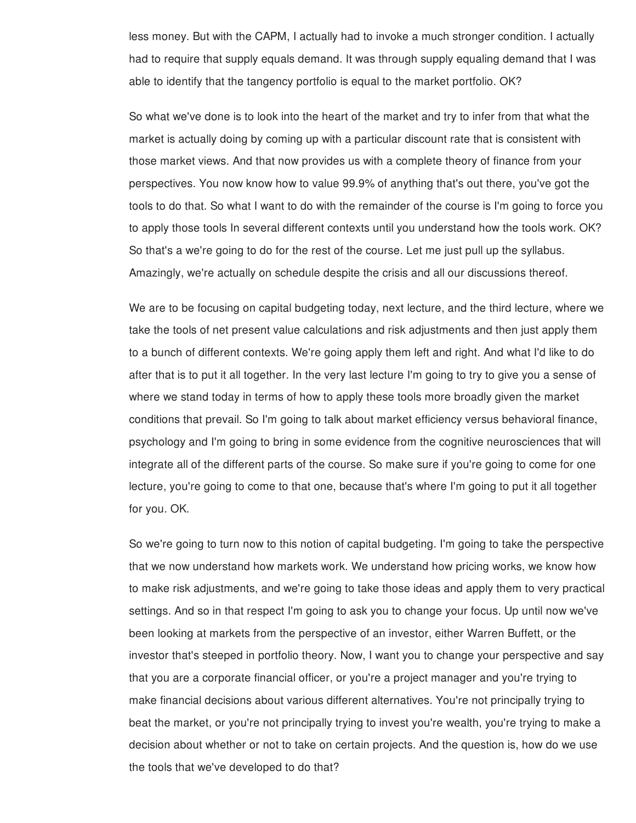less money. But with the CAPM, I actually had to invoke a much stronger condition. I actually had to require that supply equals demand. It was through supply equaling demand that I was able to identify that the tangency portfolio is equal to the market portfolio. OK?

So what we've done is to look into the heart of the market and try to infer from that what the market is actually doing by coming up with a particular discount rate that is consistent with those market views. And that now provides us with a complete theory of finance from your perspectives. You now know how to value 99.9% of anything that's out there, you've got the tools to do that. So what I want to do with the remainder of the course is I'm going to force you to apply those tools In several different contexts until you understand how the tools work. OK? So that's a we're going to do for the rest of the course. Let me just pull up the syllabus. Amazingly, we're actually on schedule despite the crisis and all our discussions thereof.

We are to be focusing on capital budgeting today, next lecture, and the third lecture, where we take the tools of net present value calculations and risk adjustments and then just apply them to a bunch of different contexts. We're going apply them left and right. And what I'd like to do after that is to put it all together. In the very last lecture I'm going to try to give you a sense of where we stand today in terms of how to apply these tools more broadly given the market conditions that prevail. So I'm going to talk about market efficiency versus behavioral finance, psychology and I'm going to bring in some evidence from the cognitive neurosciences that will integrate all of the different parts of the course. So make sure if you're going to come for one lecture, you're going to come to that one, because that's where I'm going to put it all together for you. OK.

So we're going to turn now to this notion of capital budgeting. I'm going to take the perspective that we now understand how markets work. We understand how pricing works, we know how to make risk adjustments, and we're going to take those ideas and apply them to very practical settings. And so in that respect I'm going to ask you to change your focus. Up until now we've been looking at markets from the perspective of an investor, either Warren Buffett, or the investor that's steeped in portfolio theory. Now, I want you to change your perspective and say that you are a corporate financial officer, or you're a project manager and you're trying to make financial decisions about various different alternatives. You're not principally trying to beat the market, or you're not principally trying to invest you're wealth, you're trying to make a decision about whether or not to take on certain projects. And the question is, how do we use the tools that we've developed to do that?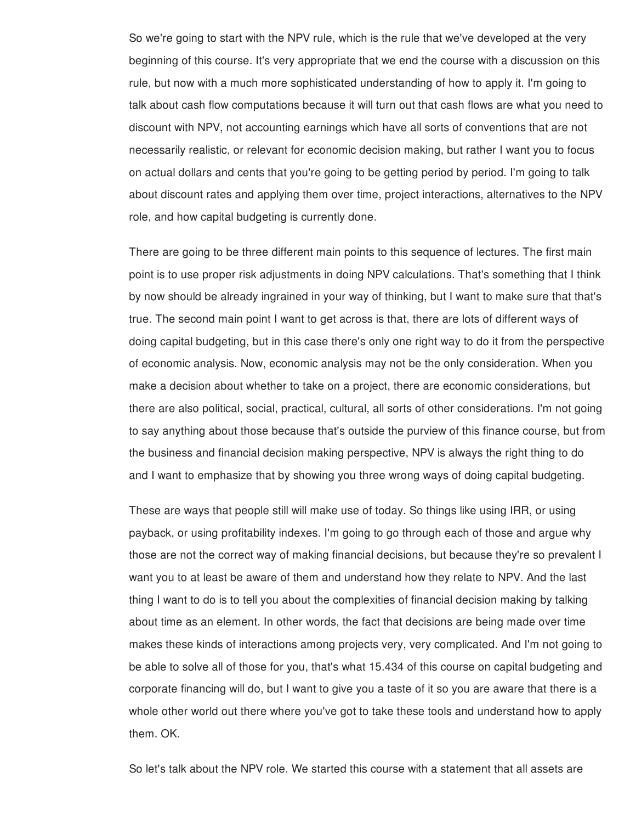So we're going to start with the NPV rule, which is the rule that we've developed at the very beginning of this course. It's very appropriate that we end the course with a discussion on this rule, but now with a much more sophisticated understanding of how to apply it. I'm going to talk about cash flow computations because it will turn out that cash flows are what you need to discount with NPV, not accounting earnings which have all sorts of conventions that are not necessarily realistic, or relevant for economic decision making, but rather I want you to focus on actual dollars and cents that you're going to be getting period by period. I'm going to talk about discount rates and applying them over time, project interactions, alternatives to the NPV role, and how capital budgeting is currently done.

There are going to be three different main points to this sequence of lectures. The first main point is to use proper risk adjustments in doing NPV calculations. That's something that I think by now should be already ingrained in your way of thinking, but I want to make sure that that's true. The second main point I want to get across is that, there are lots of different ways of doing capital budgeting, but in this case there's only one right way to do it from the perspective of economic analysis. Now, economic analysis may not be the only consideration. When you make a decision about whether to take on a project, there are economic considerations, but there are also political, social, practical, cultural, all sorts of other considerations. I'm not going to say anything about those because that's outside the purview of this finance course, but from the business and financial decision making perspective, NPV is always the right thing to do and I want to emphasize that by showing you three wrong ways of doing capital budgeting.

These are ways that people still will make use of today. So things like using IRR, or using payback, or using profitability indexes. I'm going to go through each of those and argue why those are not the correct way of making financial decisions, but because they're so prevalent I want you to at least be aware of them and understand how they relate to NPV. And the last thing I want to do is to tell you about the complexities of financial decision making by talking about time as an element. In other words, the fact that decisions are being made over time makes these kinds of interactions among projects very, very complicated. And I'm not going to be able to solve all of those for you, that's what 15.434 of this course on capital budgeting and corporate financing will do, but I want to give you a taste of it so you are aware that there is a whole other world out there where you've got to take these tools and understand how to apply them. OK.

So let's talk about the NPV role. We started this course with a statement that all assets are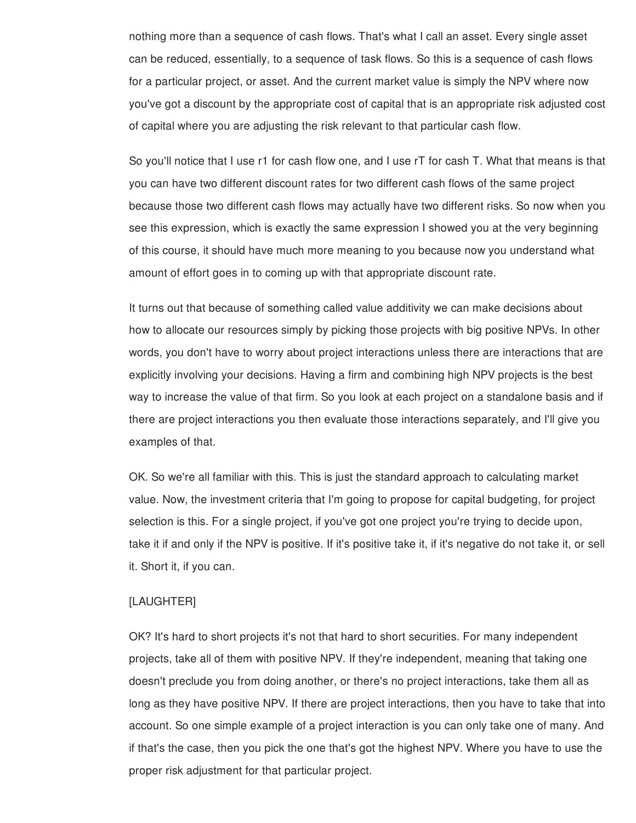nothing more than a sequence of cash flows. That's what I call an asset. Every single asset can be reduced, essentially, to a sequence of task flows. So this is a sequence of cash flows for a particular project, or asset. And the current market value is simply the NPV where now you've got a discount by the appropriate cost of capital that is an appropriate risk adjusted cost of capital where you are adjusting the risk relevant to that particular cash flow.

So you'll notice that I use r1 for cash flow one, and I use rT for cash T. What that means is that you can have two different discount rates for two different cash flows of the same project because those two different cash flows may actually have two different risks. So now when you see this expression, which is exactly the same expression I showed you at the very beginning of this course, it should have much more meaning to you because now you understand what amount of effort goes in to coming up with that appropriate discount rate.

It turns out that because of something called value additivity we can make decisions about how to allocate our resources simply by picking those projects with big positive NPVs. In other words, you don't have to worry about project interactions unless there are interactions that are explicitly involving your decisions. Having a firm and combining high NPV projects is the best way to increase the value of that firm. So you look at each project on a standalone basis and if there are project interactions you then evaluate those interactions separately, and I'll give you examples of that.

OK. So we're all familiar with this. This is just the standard approach to calculating market value. Now, the investment criteria that I'm going to propose for capital budgeting, for project selection is this. For a single project, if you've got one project you're trying to decide upon, take it if and only if the NPV is positive. If it's positive take it, if it's negative do not take it, or sell it. Short it, if you can.

## [LAUGHTER]

OK? It's hard to short projects it's not that hard to short securities. For many independent projects, take all of them with positive NPV. If they're independent, meaning that taking one doesn't preclude you from doing another, or there's no project interactions, take them all as long as they have positive NPV. If there are project interactions, then you have to take that into account. So one simple example of a project interaction is you can only take one of many. And if that's the case, then you pick the one that's got the highest NPV. Where you have to use the proper risk adjustment for that particular project.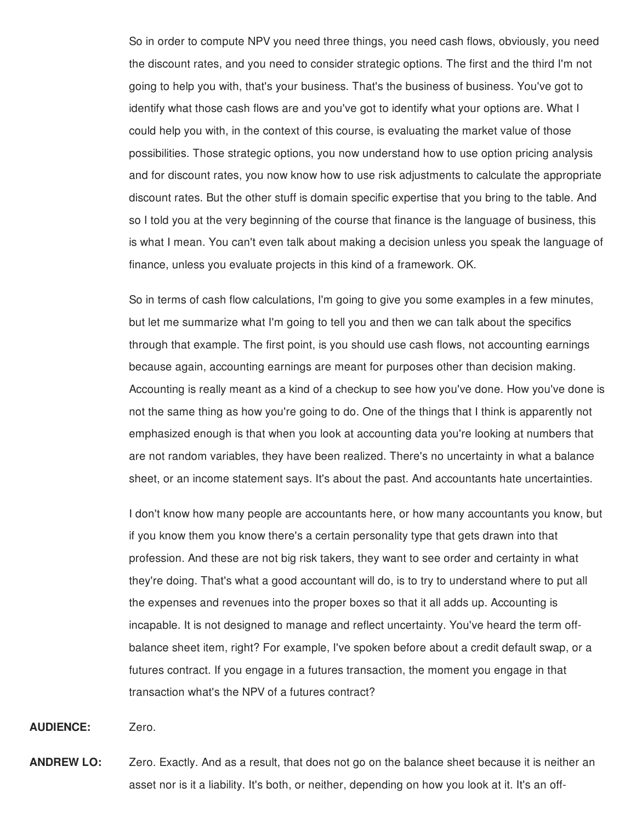So in order to compute NPV you need three things, you need cash flows, obviously, you need the discount rates, and you need to consider strategic options. The first and the third I'm not going to help you with, that's your business. That's the business of business. You've got to identify what those cash flows are and you've got to identify what your options are. What I could help you with, in the context of this course, is evaluating the market value of those possibilities. Those strategic options, you now understand how to use option pricing analysis and for discount rates, you now know how to use risk adjustments to calculate the appropriate discount rates. But the other stuff is domain specific expertise that you bring to the table. And so I told you at the very beginning of the course that finance is the language of business, this is what I mean. You can't even talk about making a decision unless you speak the language of finance, unless you evaluate projects in this kind of a framework. OK.

So in terms of cash flow calculations, I'm going to give you some examples in a few minutes, but let me summarize what I'm going to tell you and then we can talk about the specifics through that example. The first point, is you should use cash flows, not accounting earnings because again, accounting earnings are meant for purposes other than decision making. Accounting is really meant as a kind of a checkup to see how you've done. How you've done is not the same thing as how you're going to do. One of the things that I think is apparently not emphasized enough is that when you look at accounting data you're looking at numbers that are not random variables, they have been realized. There's no uncertainty in what a balance sheet, or an income statement says. It's about the past. And accountants hate uncertainties.

I don't know how many people are accountants here, or how many accountants you know, but if you know them you know there's a certain personality type that gets drawn into that profession. And these are not big risk takers, they want to see order and certainty in what they're doing. That's what a good accountant will do, is to try to understand where to put all the expenses and revenues into the proper boxes so that it all adds up. Accounting is incapable. It is not designed to manage and reflect uncertainty. You've heard the term offbalance sheet item, right? For example, I've spoken before about a credit default swap, or a futures contract. If you engage in a futures transaction, the moment you engage in that transaction what's the NPV of a futures contract?

**AUDIENCE:** Zero.

**ANDREW LO:** Zero. Exactly. And as a result, that does not go on the balance sheet because it is neither an asset nor is it a liability. It's both, or neither, depending on how you look at it. It's an off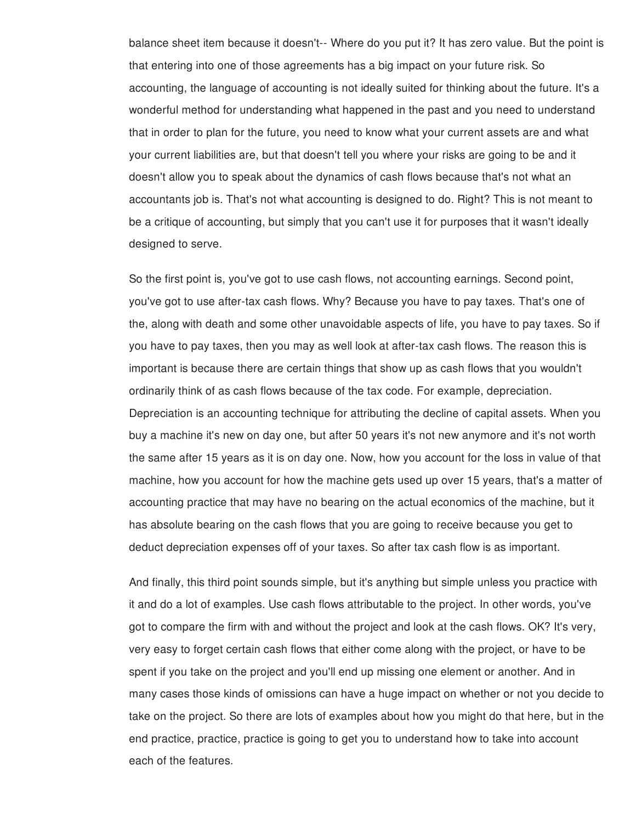balance sheet item because it doesn't-- Where do you put it? It has zero value. But the point is that entering into one of those agreements has a big impact on your future risk. So accounting, the language of accounting is not ideally suited for thinking about the future. It's a wonderful method for understanding what happened in the past and you need to understand that in order to plan for the future, you need to know what your current assets are and what your current liabilities are, but that doesn't tell you where your risks are going to be and it doesn't allow you to speak about the dynamics of cash flows because that's not what an accountants job is. That's not what accounting is designed to do. Right? This is not meant to be a critique of accounting, but simply that you can't use it for purposes that it wasn't ideally designed to serve.

So the first point is, you've got to use cash flows, not accounting earnings. Second point, you've got to use after-tax cash flows. Why? Because you have to pay taxes. That's one of the, along with death and some other unavoidable aspects of life, you have to pay taxes. So if you have to pay taxes, then you may as well look at after-tax cash flows. The reason this is important is because there are certain things that show up as cash flows that you wouldn't ordinarily think of as cash flows because of the tax code. For example, depreciation. Depreciation is an accounting technique for attributing the decline of capital assets. When you buy a machine it's new on day one, but after 50 years it's not new anymore and it's not worth the same after 15 years as it is on day one. Now, how you account for the loss in value of that machine, how you account for how the machine gets used up over 15 years, that's a matter of accounting practice that may have no bearing on the actual economics of the machine, but it has absolute bearing on the cash flows that you are going to receive because you get to deduct depreciation expenses off of your taxes. So after tax cash flow is as important.

And finally, this third point sounds simple, but it's anything but simple unless you practice with it and do a lot of examples. Use cash flows attributable to the project. In other words, you've got to compare the firm with and without the project and look at the cash flows. OK? It's very, very easy to forget certain cash flows that either come along with the project, or have to be spent if you take on the project and you'll end up missing one element or another. And in many cases those kinds of omissions can have a huge impact on whether or not you decide to take on the project. So there are lots of examples about how you might do that here, but in the end practice, practice, practice is going to get you to understand how to take into account each of the features.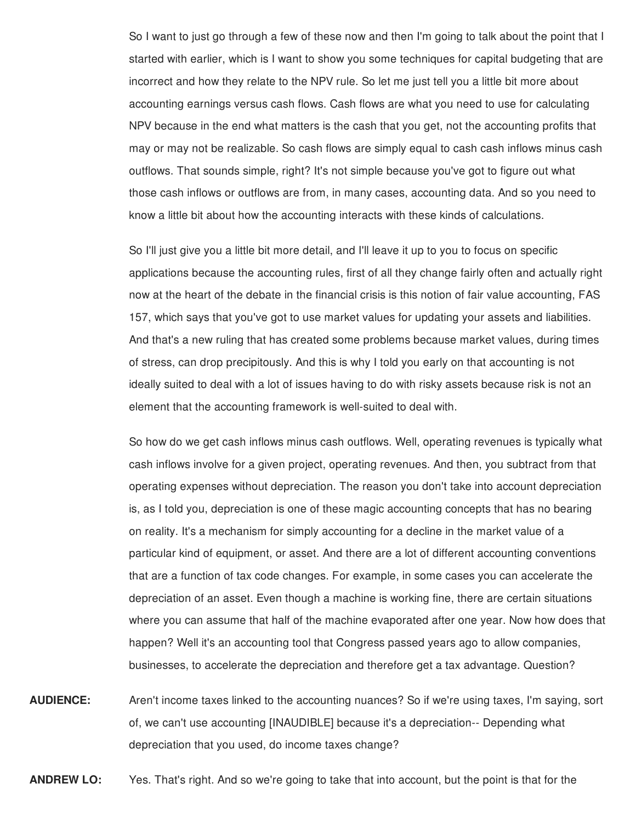So I want to just go through a few of these now and then I'm going to talk about the point that I started with earlier, which is I want to show you some techniques for capital budgeting that are incorrect and how they relate to the NPV rule. So let me just tell you a little bit more about accounting earnings versus cash flows. Cash flows are what you need to use for calculating NPV because in the end what matters is the cash that you get, not the accounting profits that may or may not be realizable. So cash flows are simply equal to cash cash inflows minus cash outflows. That sounds simple, right? It's not simple because you've got to figure out what those cash inflows or outflows are from, in many cases, accounting data. And so you need to know a little bit about how the accounting interacts with these kinds of calculations.

So I'll just give you a little bit more detail, and I'll leave it up to you to focus on specific applications because the accounting rules, first of all they change fairly often and actually right now at the heart of the debate in the financial crisis is this notion of fair value accounting, FAS 157, which says that you've got to use market values for updating your assets and liabilities. And that's a new ruling that has created some problems because market values, during times of stress, can drop precipitously. And this is why I told you early on that accounting is not ideally suited to deal with a lot of issues having to do with risky assets because risk is not an element that the accounting framework is well-suited to deal with.

So how do we get cash inflows minus cash outflows. Well, operating revenues is typically what cash inflows involve for a given project, operating revenues. And then, you subtract from that operating expenses without depreciation. The reason you don't take into account depreciation is, as I told you, depreciation is one of these magic accounting concepts that has no bearing on reality. It's a mechanism for simply accounting for a decline in the market value of a particular kind of equipment, or asset. And there are a lot of different accounting conventions that are a function of tax code changes. For example, in some cases you can accelerate the depreciation of an asset. Even though a machine is working fine, there are certain situations where you can assume that half of the machine evaporated after one year. Now how does that happen? Well it's an accounting tool that Congress passed years ago to allow companies, businesses, to accelerate the depreciation and therefore get a tax advantage. Question?

**AUDIENCE:** Aren't income taxes linked to the accounting nuances? So if we're using taxes, I'm saying, sort of, we can't use accounting [INAUDIBLE] because it's a depreciation-- Depending what depreciation that you used, do income taxes change?

**ANDREW LO:** Yes. That's right. And so we're going to take that into account, but the point is that for the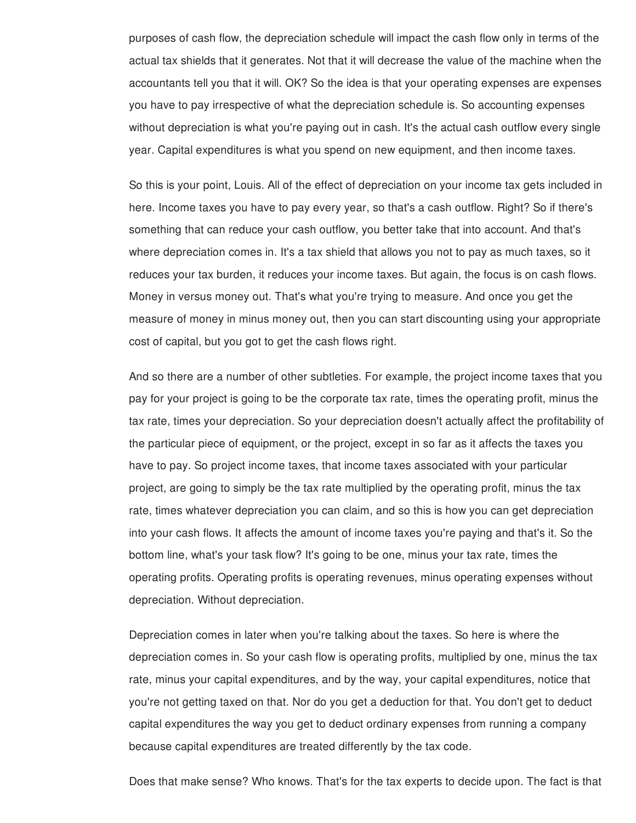purposes of cash flow, the depreciation schedule will impact the cash flow only in terms of the actual tax shields that it generates. Not that it will decrease the value of the machine when the accountants tell you that it will. OK? So the idea is that your operating expenses are expenses you have to pay irrespective of what the depreciation schedule is. So accounting expenses without depreciation is what you're paying out in cash. It's the actual cash outflow every single year. Capital expenditures is what you spend on new equipment, and then income taxes.

So this is your point, Louis. All of the effect of depreciation on your income tax gets included in here. Income taxes you have to pay every year, so that's a cash outflow. Right? So if there's something that can reduce your cash outflow, you better take that into account. And that's where depreciation comes in. It's a tax shield that allows you not to pay as much taxes, so it reduces your tax burden, it reduces your income taxes. But again, the focus is on cash flows. Money in versus money out. That's what you're trying to measure. And once you get the measure of money in minus money out, then you can start discounting using your appropriate cost of capital, but you got to get the cash flows right.

And so there are a number of other subtleties. For example, the project income taxes that you pay for your project is going to be the corporate tax rate, times the operating profit, minus the tax rate, times your depreciation. So your depreciation doesn't actually affect the profitability of the particular piece of equipment, or the project, except in so far as it affects the taxes you have to pay. So project income taxes, that income taxes associated with your particular project, are going to simply be the tax rate multiplied by the operating profit, minus the tax rate, times whatever depreciation you can claim, and so this is how you can get depreciation into your cash flows. It affects the amount of income taxes you're paying and that's it. So the bottom line, what's your task flow? It's going to be one, minus your tax rate, times the operating profits. Operating profits is operating revenues, minus operating expenses without depreciation. Without depreciation.

Depreciation comes in later when you're talking about the taxes. So here is where the depreciation comes in. So your cash flow is operating profits, multiplied by one, minus the tax rate, minus your capital expenditures, and by the way, your capital expenditures, notice that you're not getting taxed on that. Nor do you get a deduction for that. You don't get to deduct capital expenditures the way you get to deduct ordinary expenses from running a company because capital expenditures are treated differently by the tax code.

Does that make sense? Who knows. That's for the tax experts to decide upon. The fact is that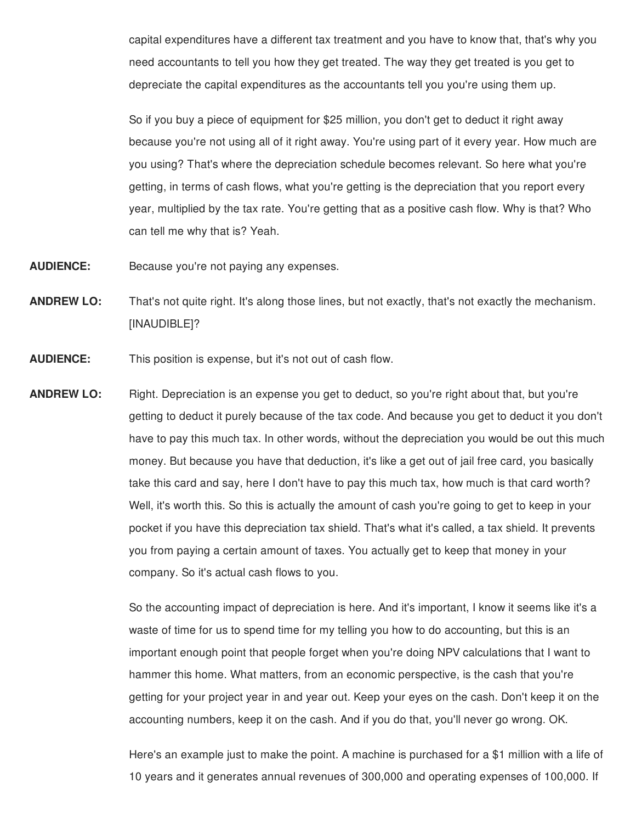capital expenditures have a different tax treatment and you have to know that, that's why you need accountants to tell you how they get treated. The way they get treated is you get to depreciate the capital expenditures as the accountants tell you you're using them up.

So if you buy a piece of equipment for \$25 million, you don't get to deduct it right away because you're not using all of it right away. You're using part of it every year. How much are you using? That's where the depreciation schedule becomes relevant. So here what you're getting, in terms of cash flows, what you're getting is the depreciation that you report every year, multiplied by the tax rate. You're getting that as a positive cash flow. Why is that? Who can tell me why that is? Yeah.

- **AUDIENCE:** Because you're not paying any expenses.
- **ANDREW LO:** That's not quite right. It's along those lines, but not exactly, that's not exactly the mechanism. [INAUDIBLE]?
- **AUDIENCE:** This position is expense, but it's not out of cash flow.
- **ANDREW LO:** Right. Depreciation is an expense you get to deduct, so you're right about that, but you're getting to deduct it purely because of the tax code. And because you get to deduct it you don't have to pay this much tax. In other words, without the depreciation you would be out this much money. But because you have that deduction, it's like a get out of jail free card, you basically take this card and say, here I don't have to pay this much tax, how much is that card worth? Well, it's worth this. So this is actually the amount of cash you're going to get to keep in your pocket if you have this depreciation tax shield. That's what it's called, a tax shield. It prevents you from paying a certain amount of taxes. You actually get to keep that money in your company. So it's actual cash flows to you.

So the accounting impact of depreciation is here. And it's important, I know it seems like it's a waste of time for us to spend time for my telling you how to do accounting, but this is an important enough point that people forget when you're doing NPV calculations that I want to hammer this home. What matters, from an economic perspective, is the cash that you're getting for your project year in and year out. Keep your eyes on the cash. Don't keep it on the accounting numbers, keep it on the cash. And if you do that, you'll never go wrong. OK.

Here's an example just to make the point. A machine is purchased for a \$1 million with a life of 10 years and it generates annual revenues of 300,000 and operating expenses of 100,000. If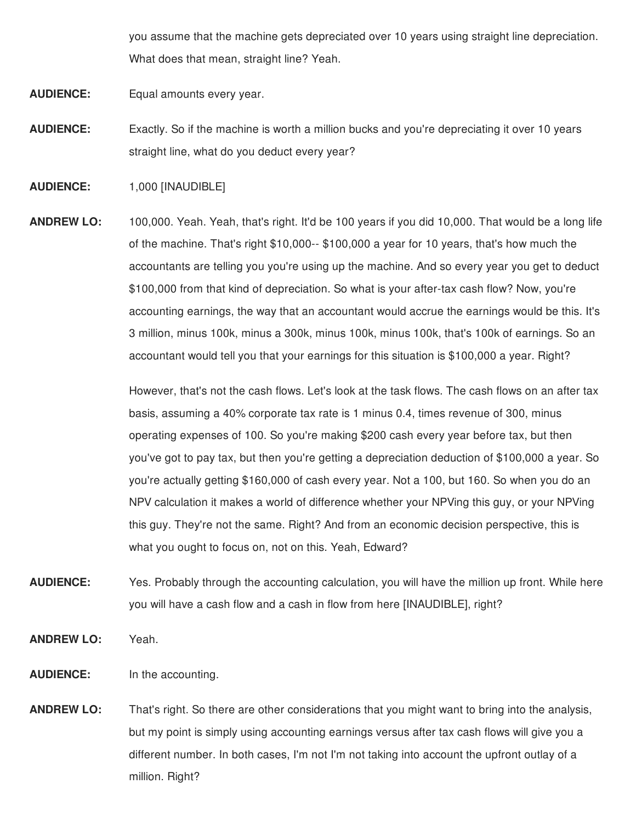you assume that the machine gets depreciated over 10 years using straight line depreciation. What does that mean, straight line? Yeah.

**AUDIENCE:** Equal amounts every year.

- **AUDIENCE:** Exactly. So if the machine is worth a million bucks and you're depreciating it over 10 years straight line, what do you deduct every year?
- **AUDIENCE:** 1,000 [INAUDIBLE]
- **ANDREW LO:** 100,000. Yeah. Yeah, that's right. It'd be 100 years if you did 10,000. That would be a long life of the machine. That's right \$10,000-- \$100,000 a year for 10 years, that's how much the accountants are telling you you're using up the machine. And so every year you get to deduct \$100,000 from that kind of depreciation. So what is your after-tax cash flow? Now, you're accounting earnings, the way that an accountant would accrue the earnings would be this. It's 3 million, minus 100k, minus a 300k, minus 100k, minus 100k, that's 100k of earnings. So an accountant would tell you that your earnings for this situation is \$100,000 a year. Right?

However, that's not the cash flows. Let's look at the task flows. The cash flows on an after tax basis, assuming a 40% corporate tax rate is 1 minus 0.4, times revenue of 300, minus operating expenses of 100. So you're making \$200 cash every year before tax, but then you've got to pay tax, but then you're getting a depreciation deduction of \$100,000 a year. So you're actually getting \$160,000 of cash every year. Not a 100, but 160. So when you do an NPV calculation it makes a world of difference whether your NPVing this guy, or your NPVing this guy. They're not the same. Right? And from an economic decision perspective, this is what you ought to focus on, not on this. Yeah, Edward?

- **AUDIENCE:** Yes. Probably through the accounting calculation, you will have the million up front. While here you will have a cash flow and a cash in flow from here [INAUDIBLE], right?
- **ANDREW LO:** Yeah.
- **AUDIENCE:** In the accounting.
- **ANDREW LO:** That's right. So there are other considerations that you might want to bring into the analysis, but my point is simply using accounting earnings versus after tax cash flows will give you a different number. In both cases, I'm not I'm not taking into account the upfront outlay of a million. Right?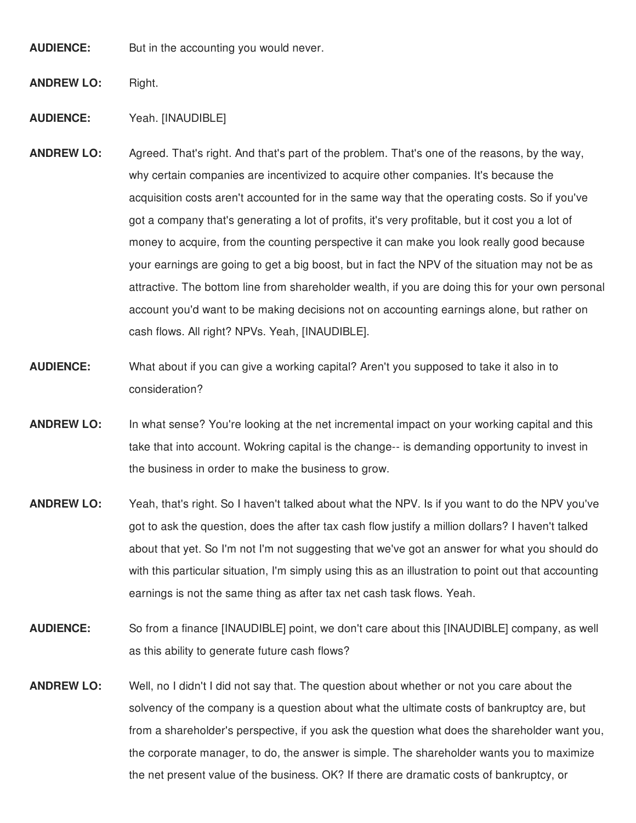**AUDIENCE:** But in the accounting you would never.

**ANDREW LO:** Right.

**AUDIENCE:** Yeah. [INAUDIBLE]

- **ANDREW LO:** Agreed. That's right. And that's part of the problem. That's one of the reasons, by the way, why certain companies are incentivized to acquire other companies. It's because the acquisition costs aren't accounted for in the same way that the operating costs. So if you've got a company that's generating a lot of profits, it's very profitable, but it cost you a lot of money to acquire, from the counting perspective it can make you look really good because your earnings are going to get a big boost, but in fact the NPV of the situation may not be as attractive. The bottom line from shareholder wealth, if you are doing this for your own personal account you'd want to be making decisions not on accounting earnings alone, but rather on cash flows. All right? NPVs. Yeah, [INAUDIBLE].
- **AUDIENCE:** What about if you can give a working capital? Aren't you supposed to take it also in to consideration?
- **ANDREW LO:** In what sense? You're looking at the net incremental impact on your working capital and this take that into account. Wokring capital is the change-- is demanding opportunity to invest in the business in order to make the business to grow.
- **ANDREW LO:** Yeah, that's right. So I haven't talked about what the NPV. Is if you want to do the NPV you've got to ask the question, does the after tax cash flow justify a million dollars? I haven't talked about that yet. So I'm not I'm not suggesting that we've got an answer for what you should do with this particular situation, I'm simply using this as an illustration to point out that accounting earnings is not the same thing as after tax net cash task flows. Yeah.
- **AUDIENCE:** So from a finance [INAUDIBLE] point, we don't care about this [INAUDIBLE] company, as well as this ability to generate future cash flows?
- **ANDREW LO:** Well, no I didn't I did not say that. The question about whether or not you care about the solvency of the company is a question about what the ultimate costs of bankruptcy are, but from a shareholder's perspective, if you ask the question what does the shareholder want you, the corporate manager, to do, the answer is simple. The shareholder wants you to maximize the net present value of the business. OK? If there are dramatic costs of bankruptcy, or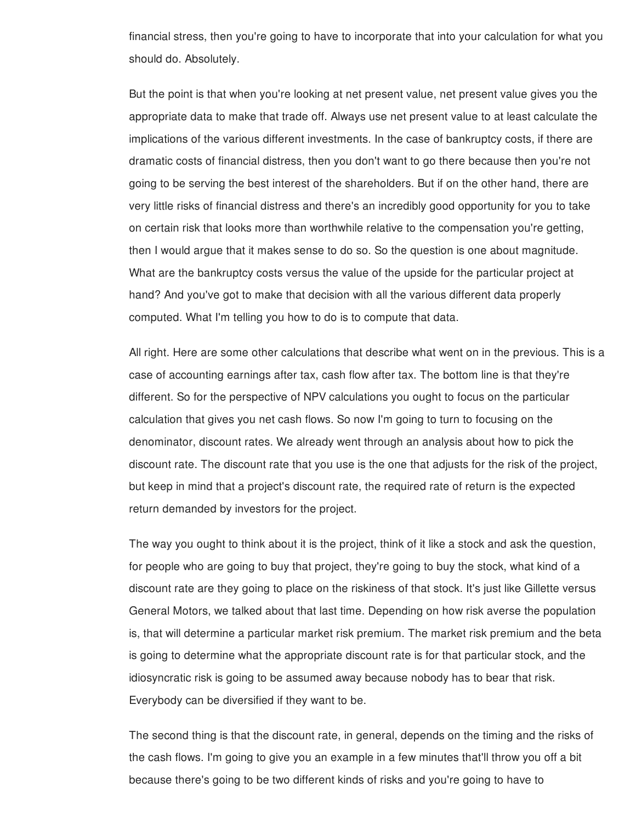financial stress, then you're going to have to incorporate that into your calculation for what you should do. Absolutely.

But the point is that when you're looking at net present value, net present value gives you the appropriate data to make that trade off. Always use net present value to at least calculate the implications of the various different investments. In the case of bankruptcy costs, if there are dramatic costs of financial distress, then you don't want to go there because then you're not going to be serving the best interest of the shareholders. But if on the other hand, there are very little risks of financial distress and there's an incredibly good opportunity for you to take on certain risk that looks more than worthwhile relative to the compensation you're getting, then I would argue that it makes sense to do so. So the question is one about magnitude. What are the bankruptcy costs versus the value of the upside for the particular project at hand? And you've got to make that decision with all the various different data properly computed. What I'm telling you how to do is to compute that data.

All right. Here are some other calculations that describe what went on in the previous. This is a case of accounting earnings after tax, cash flow after tax. The bottom line is that they're different. So for the perspective of NPV calculations you ought to focus on the particular calculation that gives you net cash flows. So now I'm going to turn to focusing on the denominator, discount rates. We already went through an analysis about how to pick the discount rate. The discount rate that you use is the one that adjusts for the risk of the project, but keep in mind that a project's discount rate, the required rate of return is the expected return demanded by investors for the project.

The way you ought to think about it is the project, think of it like a stock and ask the question, for people who are going to buy that project, they're going to buy the stock, what kind of a discount rate are they going to place on the riskiness of that stock. It's just like Gillette versus General Motors, we talked about that last time. Depending on how risk averse the population is, that will determine a particular market risk premium. The market risk premium and the beta is going to determine what the appropriate discount rate is for that particular stock, and the idiosyncratic risk is going to be assumed away because nobody has to bear that risk. Everybody can be diversified if they want to be.

The second thing is that the discount rate, in general, depends on the timing and the risks of the cash flows. I'm going to give you an example in a few minutes that'll throw you off a bit because there's going to be two different kinds of risks and you're going to have to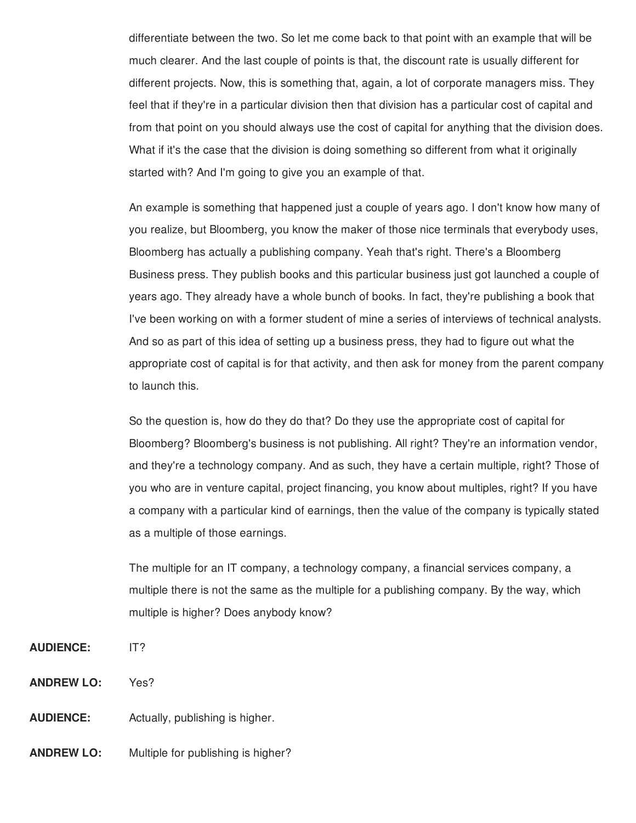differentiate between the two. So let me come back to that point with an example that will be much clearer. And the last couple of points is that, the discount rate is usually different for different projects. Now, this is something that, again, a lot of corporate managers miss. They feel that if they're in a particular division then that division has a particular cost of capital and from that point on you should always use the cost of capital for anything that the division does. What if it's the case that the division is doing something so different from what it originally started with? And I'm going to give you an example of that.

An example is something that happened just a couple of years ago. I don't know how many of you realize, but Bloomberg, you know the maker of those nice terminals that everybody uses, Bloomberg has actually a publishing company. Yeah that's right. There's a Bloomberg Business press. They publish books and this particular business just got launched a couple of years ago. They already have a whole bunch of books. In fact, they're publishing a book that I've been working on with a former student of mine a series of interviews of technical analysts. And so as part of this idea of setting up a business press, they had to figure out what the appropriate cost of capital is for that activity, and then ask for money from the parent company to launch this.

So the question is, how do they do that? Do they use the appropriate cost of capital for Bloomberg? Bloomberg's business is not publishing. All right? They're an information vendor, and they're a technology company. And as such, they have a certain multiple, right? Those of you who are in venture capital, project financing, you know about multiples, right? If you have a company with a particular kind of earnings, then the value of the company is typically stated as a multiple of those earnings.

The multiple for an IT company, a technology company, a financial services company, a multiple there is not the same as the multiple for a publishing company. By the way, which multiple is higher? Does anybody know?

- **AUDIENCE:** IT?
- **ANDREW LO:** Yes?

**AUDIENCE:** Actually, publishing is higher.

**ANDREW LO:** Multiple for publishing is higher?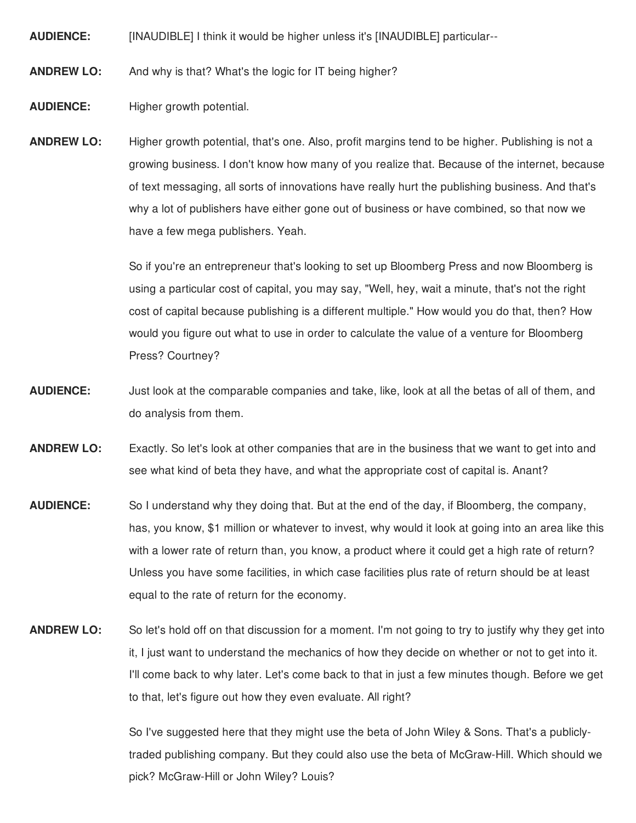**AUDIENCE:** [INAUDIBLE] I think it would be higher unless it's [INAUDIBLE] particular--

**ANDREW LO:** And why is that? What's the logic for IT being higher?

**AUDIENCE:** Higher growth potential.

**ANDREW LO:** Higher growth potential, that's one. Also, profit margins tend to be higher. Publishing is not a growing business. I don't know how many of you realize that. Because of the internet, because of text messaging, all sorts of innovations have really hurt the publishing business. And that's why a lot of publishers have either gone out of business or have combined, so that now we have a few mega publishers. Yeah.

> So if you're an entrepreneur that's looking to set up Bloomberg Press and now Bloomberg is using a particular cost of capital, you may say, "Well, hey, wait a minute, that's not the right cost of capital because publishing is a different multiple." How would you do that, then? How would you figure out what to use in order to calculate the value of a venture for Bloomberg Press? Courtney?

- **AUDIENCE:** Just look at the comparable companies and take, like, look at all the betas of all of them, and do analysis from them.
- **ANDREW LO:** Exactly. So let's look at other companies that are in the business that we want to get into and see what kind of beta they have, and what the appropriate cost of capital is. Anant?
- **AUDIENCE:** So I understand why they doing that. But at the end of the day, if Bloomberg, the company, has, you know, \$1 million or whatever to invest, why would it look at going into an area like this with a lower rate of return than, you know, a product where it could get a high rate of return? Unless you have some facilities, in which case facilities plus rate of return should be at least equal to the rate of return for the economy.
- **ANDREW LO:** So let's hold off on that discussion for a moment. I'm not going to try to justify why they get into it, I just want to understand the mechanics of how they decide on whether or not to get into it. I'll come back to why later. Let's come back to that in just a few minutes though. Before we get to that, let's figure out how they even evaluate. All right?

So I've suggested here that they might use the beta of John Wiley & Sons. That's a publiclytraded publishing company. But they could also use the beta of McGraw-Hill. Which should we pick? McGraw-Hill or John Wiley? Louis?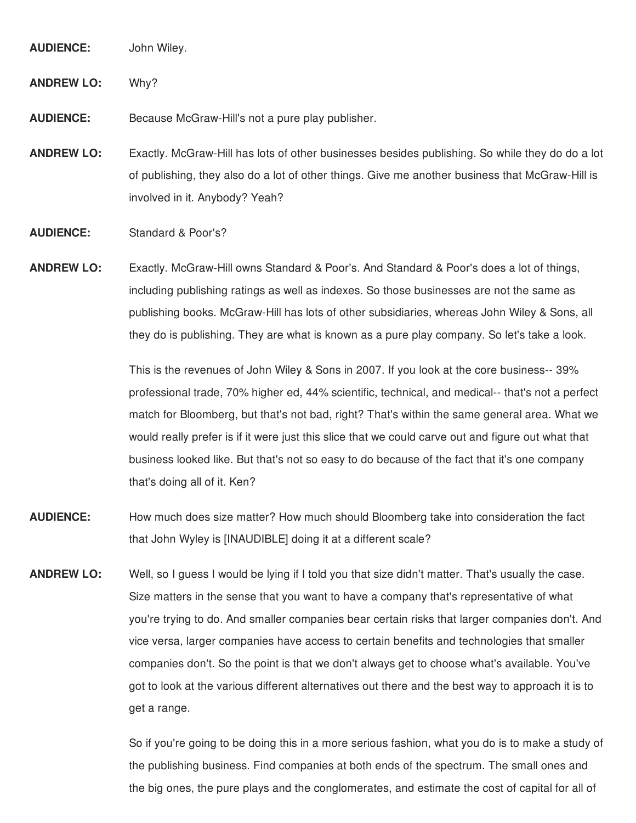**AUDIENCE:** John Wiley.

**ANDREW LO:** Why?

**AUDIENCE:** Because McGraw-Hill's not a pure play publisher.

**ANDREW LO:** Exactly. McGraw-Hill has lots of other businesses besides publishing. So while they do do a lot of publishing, they also do a lot of other things. Give me another business that McGraw-Hill is involved in it. Anybody? Yeah?

**AUDIENCE:** Standard & Poor's?

**ANDREW LO:** Exactly. McGraw-Hill owns Standard & Poor's. And Standard & Poor's does a lot of things, including publishing ratings as well as indexes. So those businesses are not the same as publishing books. McGraw-Hill has lots of other subsidiaries, whereas John Wiley & Sons, all they do is publishing. They are what is known as a pure play company. So let's take a look.

> This is the revenues of John Wiley & Sons in 2007. If you look at the core business-- 39% professional trade, 70% higher ed, 44% scientific, technical, and medical-- that's not a perfect match for Bloomberg, but that's not bad, right? That's within the same general area. What we would really prefer is if it were just this slice that we could carve out and figure out what that business looked like. But that's not so easy to do because of the fact that it's one company that's doing all of it. Ken?

- **AUDIENCE:** How much does size matter? How much should Bloomberg take into consideration the fact that John Wyley is [INAUDIBLE] doing it at a different scale?
- **ANDREW LO:** Well, so I guess I would be lying if I told you that size didn't matter. That's usually the case. Size matters in the sense that you want to have a company that's representative of what you're trying to do. And smaller companies bear certain risks that larger companies don't. And vice versa, larger companies have access to certain benefits and technologies that smaller companies don't. So the point is that we don't always get to choose what's available. You've got to look at the various different alternatives out there and the best way to approach it is to get a range.

So if you're going to be doing this in a more serious fashion, what you do is to make a study of the publishing business. Find companies at both ends of the spectrum. The small ones and the big ones, the pure plays and the conglomerates, and estimate the cost of capital for all of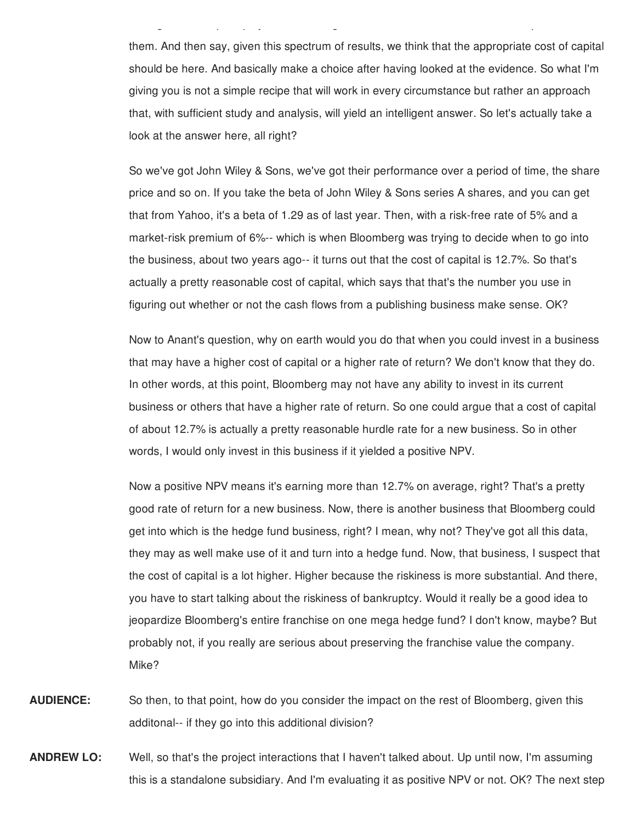them. And then say, given this spectrum of results, we think that the appropriate cost of capital should be here. And basically make a choice after having looked at the evidence. So what I'm giving you is not a simple recipe that will work in every circumstance but rather an approach that, with sufficient study and analysis, will yield an intelligent answer. So let's actually take a look at the answer here, all right?

the big ones, the pure plays and the pure plays and the cost of capital for all of capital for all of capital for all of capital for all of capital for all of capital for all of capital for all of capital for all of capit

So we've got John Wiley & Sons, we've got their performance over a period of time, the share price and so on. If you take the beta of John Wiley & Sons series A shares, and you can get that from Yahoo, it's a beta of 1.29 as of last year. Then, with a risk-free rate of 5% and a market-risk premium of 6%-- which is when Bloomberg was trying to decide when to go into the business, about two years ago-- it turns out that the cost of capital is 12.7%. So that's actually a pretty reasonable cost of capital, which says that that's the number you use in figuring out whether or not the cash flows from a publishing business make sense. OK?

Now to Anant's question, why on earth would you do that when you could invest in a business that may have a higher cost of capital or a higher rate of return? We don't know that they do. In other words, at this point, Bloomberg may not have any ability to invest in its current business or others that have a higher rate of return. So one could argue that a cost of capital of about 12.7% is actually a pretty reasonable hurdle rate for a new business. So in other words, I would only invest in this business if it yielded a positive NPV.

Now a positive NPV means it's earning more than 12.7% on average, right? That's a pretty good rate of return for a new business. Now, there is another business that Bloomberg could get into which is the hedge fund business, right? I mean, why not? They've got all this data, they may as well make use of it and turn into a hedge fund. Now, that business, I suspect that the cost of capital is a lot higher. Higher because the riskiness is more substantial. And there, you have to start talking about the riskiness of bankruptcy. Would it really be a good idea to jeopardize Bloomberg's entire franchise on one mega hedge fund? I don't know, maybe? But probably not, if you really are serious about preserving the franchise value the company. Mike?

**AUDIENCE:** So then, to that point, how do you consider the impact on the rest of Bloomberg, given this additonal-- if they go into this additional division?

**ANDREW LO:** Well, so that's the project interactions that I haven't talked about. Up until now, I'm assuming this is a standalone subsidiary. And I'm evaluating it as positive NPV or not. OK? The next step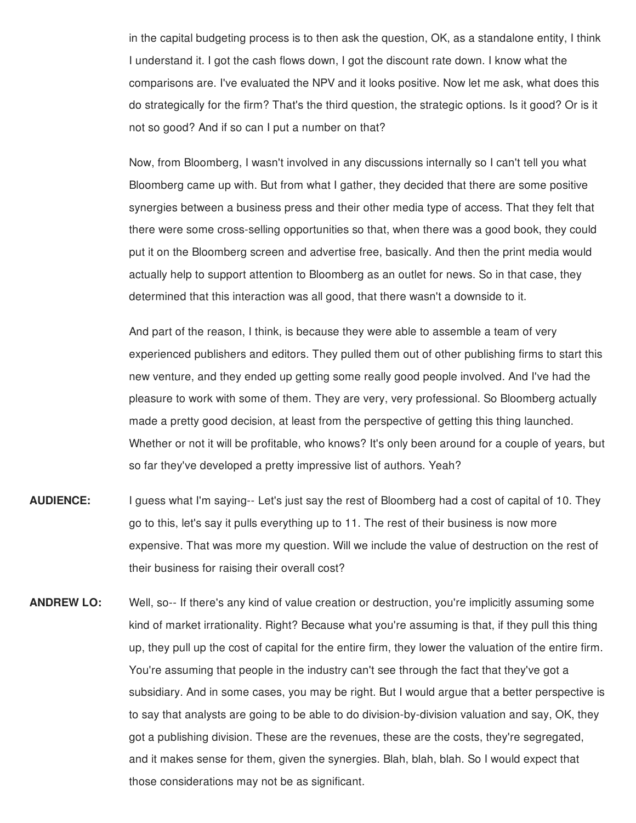in the capital budgeting process is to then ask the question, OK, as a standalone entity, I think I understand it. I got the cash flows down, I got the discount rate down. I know what the comparisons are. I've evaluated the NPV and it looks positive. Now let me ask, what does this do strategically for the firm? That's the third question, the strategic options. Is it good? Or is it not so good? And if so can I put a number on that?

Now, from Bloomberg, I wasn't involved in any discussions internally so I can't tell you what Bloomberg came up with. But from what I gather, they decided that there are some positive synergies between a business press and their other media type of access. That they felt that there were some cross-selling opportunities so that, when there was a good book, they could put it on the Bloomberg screen and advertise free, basically. And then the print media would actually help to support attention to Bloomberg as an outlet for news. So in that case, they determined that this interaction was all good, that there wasn't a downside to it.

And part of the reason, I think, is because they were able to assemble a team of very experienced publishers and editors. They pulled them out of other publishing firms to start this new venture, and they ended up getting some really good people involved. And I've had the pleasure to work with some of them. They are very, very professional. So Bloomberg actually made a pretty good decision, at least from the perspective of getting this thing launched. Whether or not it will be profitable, who knows? It's only been around for a couple of years, but so far they've developed a pretty impressive list of authors. Yeah?

- **AUDIENCE:** I guess what I'm saying-- Let's just say the rest of Bloomberg had a cost of capital of 10. They go to this, let's say it pulls everything up to 11. The rest of their business is now more expensive. That was more my question. Will we include the value of destruction on the rest of their business for raising their overall cost?
- **ANDREW LO:** Well, so-- If there's any kind of value creation or destruction, you're implicitly assuming some kind of market irrationality. Right? Because what you're assuming is that, if they pull this thing up, they pull up the cost of capital for the entire firm, they lower the valuation of the entire firm. You're assuming that people in the industry can't see through the fact that they've got a subsidiary. And in some cases, you may be right. But I would argue that a better perspective is to say that analysts are going to be able to do division-by-division valuation and say, OK, they got a publishing division. These are the revenues, these are the costs, they're segregated, and it makes sense for them, given the synergies. Blah, blah, blah. So I would expect that those considerations may not be as significant.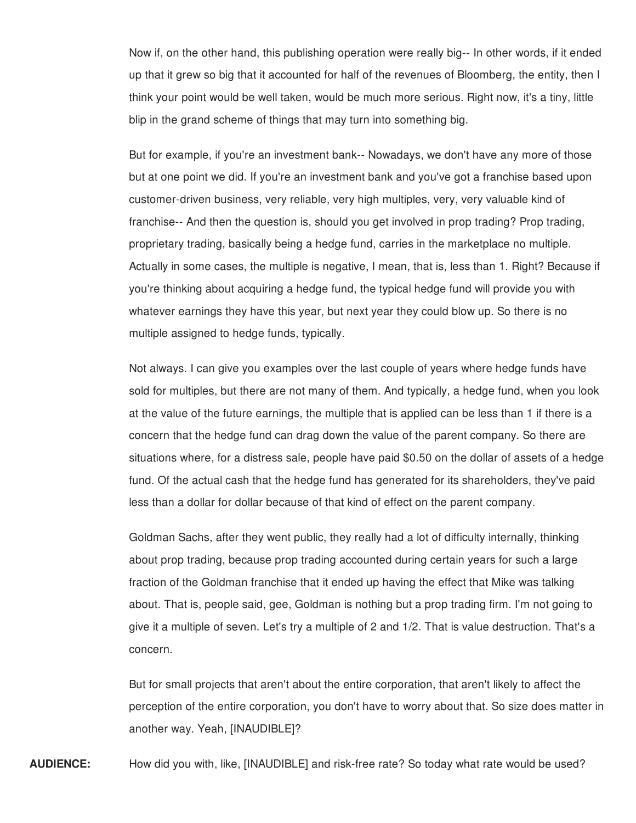Now if, on the other hand, this publishing operation were really big-- In other words, if it ended up that it grew so big that it accounted for half of the revenues of Bloomberg, the entity, then I think your point would be well taken, would be much more serious. Right now, it's a tiny, little blip in the grand scheme of things that may turn into something big.

But for example, if you're an investment bank-- Nowadays, we don't have any more of those but at one point we did. If you're an investment bank and you've got a franchise based upon customer-driven business, very reliable, very high multiples, very, very valuable kind of franchise-- And then the question is, should you get involved in prop trading? Prop trading, proprietary trading, basically being a hedge fund, carries in the marketplace no multiple. Actually in some cases, the multiple is negative, I mean, that is, less than 1. Right? Because if you're thinking about acquiring a hedge fund, the typical hedge fund will provide you with whatever earnings they have this year, but next year they could blow up. So there is no multiple assigned to hedge funds, typically.

Not always. I can give you examples over the last couple of years where hedge funds have sold for multiples, but there are not many of them. And typically, a hedge fund, when you look at the value of the future earnings, the multiple that is applied can be less than 1 if there is a concern that the hedge fund can drag down the value of the parent company. So there are situations where, for a distress sale, people have paid \$0.50 on the dollar of assets of a hedge fund. Of the actual cash that the hedge fund has generated for its shareholders, they've paid less than a dollar for dollar because of that kind of effect on the parent company.

Goldman Sachs, after they went public, they really had a lot of difficulty internally, thinking about prop trading, because prop trading accounted during certain years for such a large fraction of the Goldman franchise that it ended up having the effect that Mike was talking about. That is, people said, gee, Goldman is nothing but a prop trading firm. I'm not going to give it a multiple of seven. Let's try a multiple of 2 and 1/2. That is value destruction. That's a concern.

But for small projects that aren't about the entire corporation, that aren't likely to affect the perception of the entire corporation, you don't have to worry about that. So size does matter in another way. Yeah, [INAUDIBLE]?

**AUDIENCE:** How did you with, like, [INAUDIBLE] and risk-free rate? So today what rate would be used?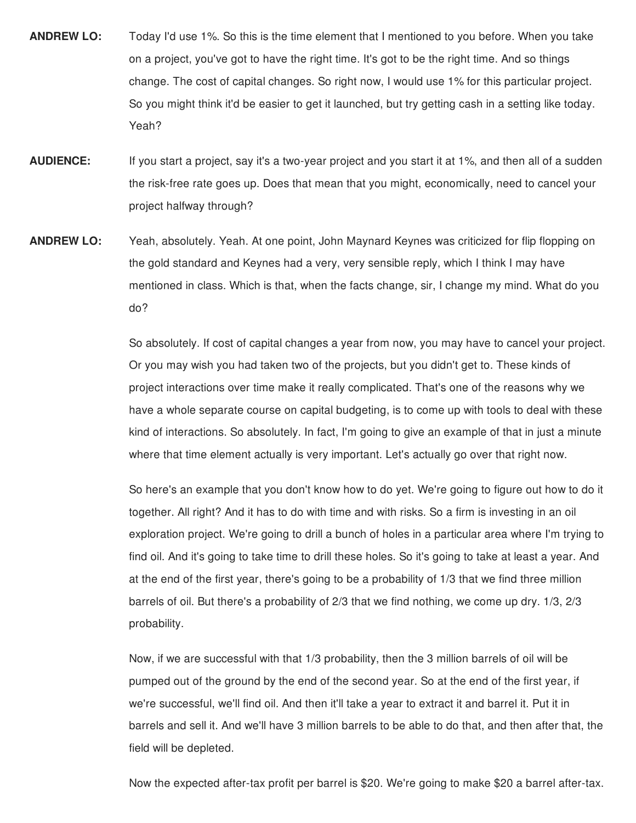- **ANDREW LO:** Today I'd use 1%. So this is the time element that I mentioned to you before. When you take on a project, you've got to have the right time. It's got to be the right time. And so things change. The cost of capital changes. So right now, I would use 1% for this particular project. So you might think it'd be easier to get it launched, but try getting cash in a setting like today. Yeah?
- **AUDIENCE:** If you start a project, say it's a two-year project and you start it at 1%, and then all of a sudden the risk-free rate goes up. Does that mean that you might, economically, need to cancel your project halfway through?
- **ANDREW LO:** Yeah, absolutely. Yeah. At one point, John Maynard Keynes was criticized for flip flopping on the gold standard and Keynes had a very, very sensible reply, which I think I may have mentioned in class. Which is that, when the facts change, sir, I change my mind. What do you do?

So absolutely. If cost of capital changes a year from now, you may have to cancel your project. Or you may wish you had taken two of the projects, but you didn't get to. These kinds of project interactions over time make it really complicated. That's one of the reasons why we have a whole separate course on capital budgeting, is to come up with tools to deal with these kind of interactions. So absolutely. In fact, I'm going to give an example of that in just a minute where that time element actually is very important. Let's actually go over that right now.

So here's an example that you don't know how to do yet. We're going to figure out how to do it together. All right? And it has to do with time and with risks. So a firm is investing in an oil exploration project. We're going to drill a bunch of holes in a particular area where I'm trying to find oil. And it's going to take time to drill these holes. So it's going to take at least a year. And at the end of the first year, there's going to be a probability of 1/3 that we find three million barrels of oil. But there's a probability of 2/3 that we find nothing, we come up dry. 1/3, 2/3 probability.

Now, if we are successful with that 1/3 probability, then the 3 million barrels of oil will be pumped out of the ground by the end of the second year. So at the end of the first year, if we're successful, we'll find oil. And then it'll take a year to extract it and barrel it. Put it in barrels and sell it. And we'll have 3 million barrels to be able to do that, and then after that, the field will be depleted.

Now the expected after-tax profit per barrel is \$20. We're going to make \$20 a barrel after-tax.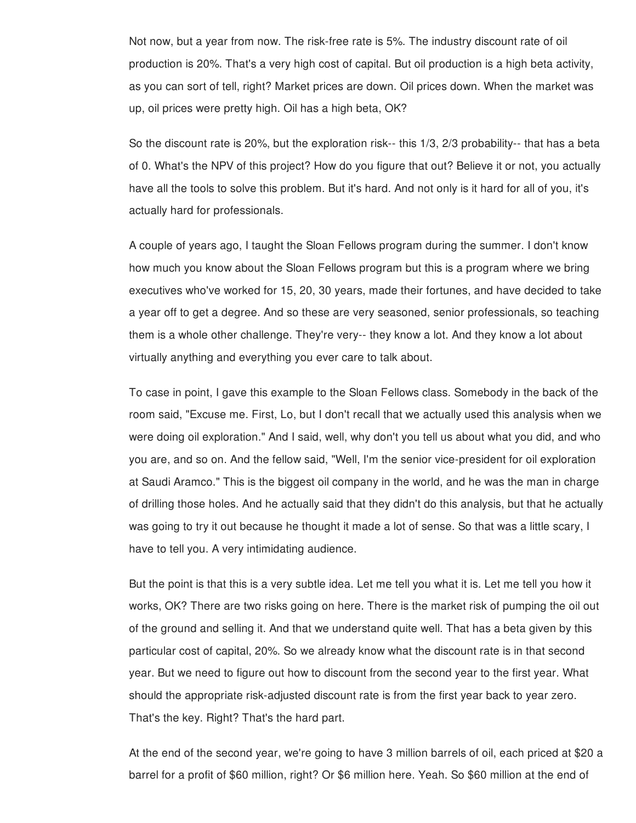Not now, but a year from now. The risk-free rate is 5%. The industry discount rate of oil production is 20%. That's a very high cost of capital. But oil production is a high beta activity, as you can sort of tell, right? Market prices are down. Oil prices down. When the market was up, oil prices were pretty high. Oil has a high beta, OK?

So the discount rate is 20%, but the exploration risk-- this 1/3, 2/3 probability-- that has a beta of 0. What's the NPV of this project? How do you figure that out? Believe it or not, you actually have all the tools to solve this problem. But it's hard. And not only is it hard for all of you, it's actually hard for professionals.

A couple of years ago, I taught the Sloan Fellows program during the summer. I don't know how much you know about the Sloan Fellows program but this is a program where we bring executives who've worked for 15, 20, 30 years, made their fortunes, and have decided to take a year off to get a degree. And so these are very seasoned, senior professionals, so teaching them is a whole other challenge. They're very-- they know a lot. And they know a lot about virtually anything and everything you ever care to talk about.

To case in point, I gave this example to the Sloan Fellows class. Somebody in the back of the room said, "Excuse me. First, Lo, but I don't recall that we actually used this analysis when we were doing oil exploration." And I said, well, why don't you tell us about what you did, and who you are, and so on. And the fellow said, "Well, I'm the senior vice-president for oil exploration at Saudi Aramco." This is the biggest oil company in the world, and he was the man in charge of drilling those holes. And he actually said that they didn't do this analysis, but that he actually was going to try it out because he thought it made a lot of sense. So that was a little scary, I have to tell you. A very intimidating audience.

But the point is that this is a very subtle idea. Let me tell you what it is. Let me tell you how it works, OK? There are two risks going on here. There is the market risk of pumping the oil out of the ground and selling it. And that we understand quite well. That has a beta given by this particular cost of capital, 20%. So we already know what the discount rate is in that second year. But we need to figure out how to discount from the second year to the first year. What should the appropriate risk-adjusted discount rate is from the first year back to year zero. That's the key. Right? That's the hard part.

At the end of the second year, we're going to have 3 million barrels of oil, each priced at \$20 a barrel for a profit of \$60 million, right? Or \$6 million here. Yeah. So \$60 million at the end of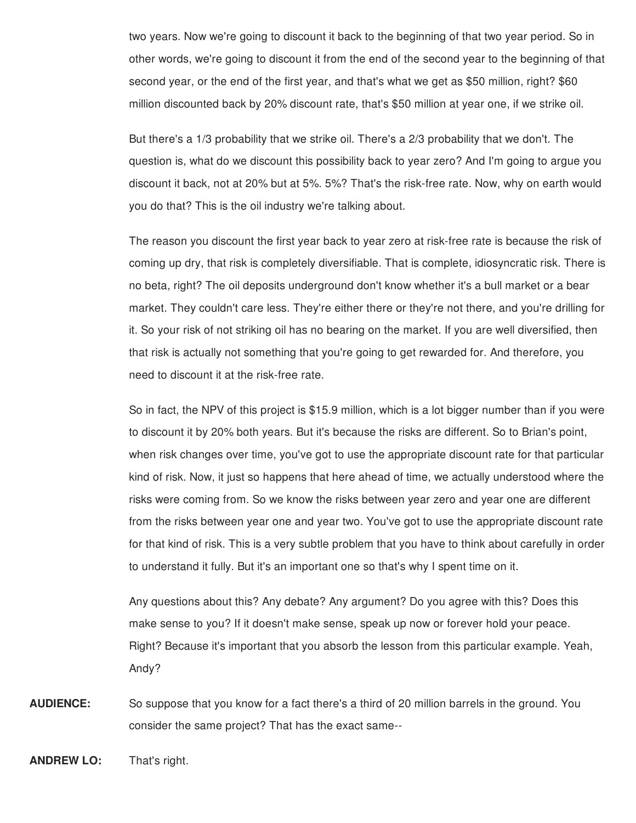two years. Now we're going to discount it back to the beginning of that two year period. So in other words, we're going to discount it from the end of the second year to the beginning of that second year, or the end of the first year, and that's what we get as \$50 million, right? \$60 million discounted back by 20% discount rate, that's \$50 million at year one, if we strike oil.

But there's a 1/3 probability that we strike oil. There's a 2/3 probability that we don't. The question is, what do we discount this possibility back to year zero? And I'm going to argue you discount it back, not at 20% but at 5%. 5%? That's the risk-free rate. Now, why on earth would you do that? This is the oil industry we're talking about.

The reason you discount the first year back to year zero at risk-free rate is because the risk of coming up dry, that risk is completely diversifiable. That is complete, idiosyncratic risk. There is no beta, right? The oil deposits underground don't know whether it's a bull market or a bear market. They couldn't care less. They're either there or they're not there, and you're drilling for it. So your risk of not striking oil has no bearing on the market. If you are well diversified, then that risk is actually not something that you're going to get rewarded for. And therefore, you need to discount it at the risk-free rate.

So in fact, the NPV of this project is \$15.9 million, which is a lot bigger number than if you were to discount it by 20% both years. But it's because the risks are different. So to Brian's point, when risk changes over time, you've got to use the appropriate discount rate for that particular kind of risk. Now, it just so happens that here ahead of time, we actually understood where the risks were coming from. So we know the risks between year zero and year one are different from the risks between year one and year two. You've got to use the appropriate discount rate for that kind of risk. This is a very subtle problem that you have to think about carefully in order to understand it fully. But it's an important one so that's why I spent time on it.

Any questions about this? Any debate? Any argument? Do you agree with this? Does this make sense to you? If it doesn't make sense, speak up now or forever hold your peace. Right? Because it's important that you absorb the lesson from this particular example. Yeah, Andy?

**AUDIENCE:** So suppose that you know for a fact there's a third of 20 million barrels in the ground. You consider the same project? That has the exact same--

**ANDREW LO:** That's right.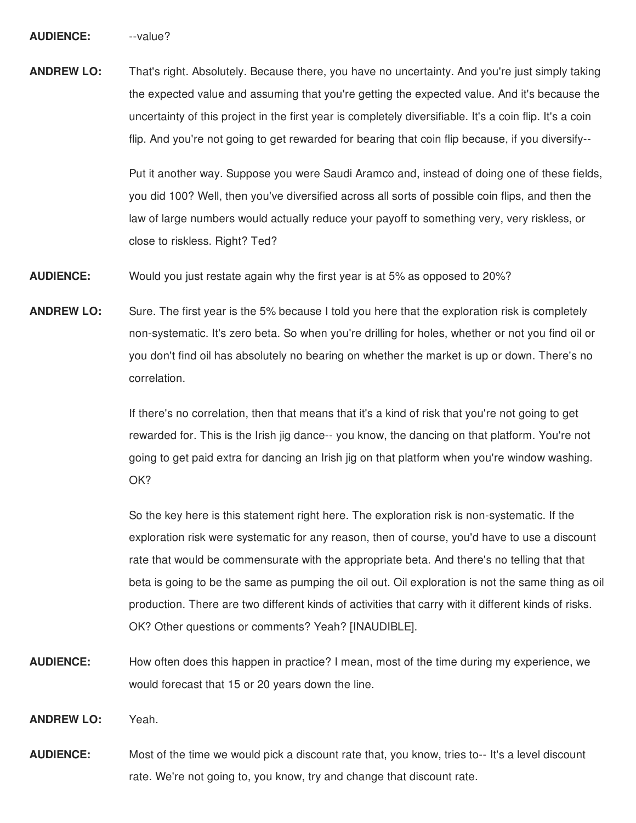**AUDIENCE:** --value?

**ANDREW LO:** That's right. Absolutely. Because there, you have no uncertainty. And you're just simply taking the expected value and assuming that you're getting the expected value. And it's because the uncertainty of this project in the first year is completely diversifiable. It's a coin flip. It's a coin flip. And you're not going to get rewarded for bearing that coin flip because, if you diversify--

> Put it another way. Suppose you were Saudi Aramco and, instead of doing one of these fields, you did 100? Well, then you've diversified across all sorts of possible coin flips, and then the law of large numbers would actually reduce your payoff to something very, very riskless, or close to riskless. Right? Ted?

**AUDIENCE:** Would you just restate again why the first year is at 5% as opposed to 20%?

**ANDREW LO:** Sure. The first year is the 5% because I told you here that the exploration risk is completely non-systematic. It's zero beta. So when you're drilling for holes, whether or not you find oil or you don't find oil has absolutely no bearing on whether the market is up or down. There's no correlation.

> If there's no correlation, then that means that it's a kind of risk that you're not going to get rewarded for. This is the Irish jig dance-- you know, the dancing on that platform. You're not going to get paid extra for dancing an Irish jig on that platform when you're window washing. OK?

So the key here is this statement right here. The exploration risk is non-systematic. If the exploration risk were systematic for any reason, then of course, you'd have to use a discount rate that would be commensurate with the appropriate beta. And there's no telling that that beta is going to be the same as pumping the oil out. Oil exploration is not the same thing as oil production. There are two different kinds of activities that carry with it different kinds of risks. OK? Other questions or comments? Yeah? [INAUDIBLE].

**AUDIENCE:** How often does this happen in practice? I mean, most of the time during my experience, we would forecast that 15 or 20 years down the line.

**ANDREW LO:** Yeah.

**AUDIENCE:** Most of the time we would pick a discount rate that, you know, tries to-- It's a level discount rate. We're not going to, you know, try and change that discount rate.